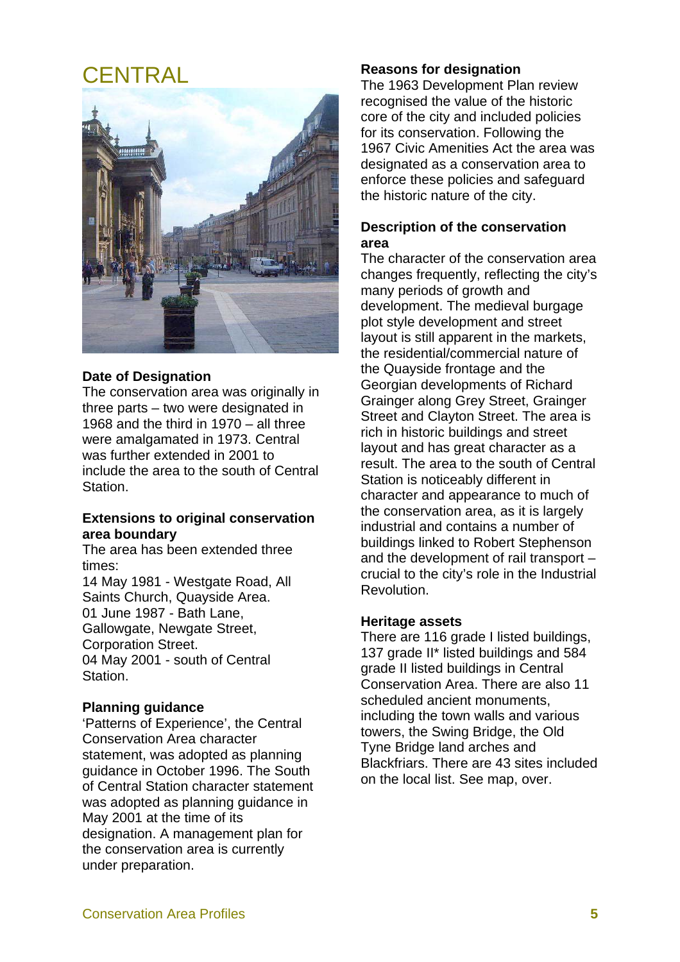# CENTRAL



#### **Date of Designation**

The conservation area was originally in three parts – two were designated in 1968 and the third in 1970 – all three were amalgamated in 1973. Central was further extended in 2001 to include the area to the south of Central Station.

#### **Extensions to original conservation area boundary**

The area has been extended three times:

14 May 1981 - Westgate Road, All Saints Church, Quayside Area. 01 June 1987 - Bath Lane, Gallowgate, Newgate Street, Corporation Street. 04 May 2001 - south of Central Station.

#### **Planning guidance**

'Patterns of Experience', the Central Conservation Area character statement, was adopted as planning guidance in October 1996. The South of Central Station character statement was adopted as planning guidance in May 2001 at the time of its designation. A management plan for the conservation area is currently under preparation.

#### **Reasons for designation**

The 1963 Development Plan review recognised the value of the historic core of the city and included policies for its conservation. Following the 1967 Civic Amenities Act the area was designated as a conservation area to enforce these policies and safeguard the historic nature of the city.

#### **Description of the conservation area**

The character of the conservation area changes frequently, reflecting the city's many periods of growth and development. The medieval burgage plot style development and street layout is still apparent in the markets, the residential/commercial nature of the Quayside frontage and the Georgian developments of Richard Grainger along Grey Street, Grainger Street and Clayton Street. The area is rich in historic buildings and street layout and has great character as a result. The area to the south of Central Station is noticeably different in character and appearance to much of the conservation area, as it is largely industrial and contains a number of buildings linked to Robert Stephenson and the development of rail transport – crucial to the city's role in the Industrial Revolution.

#### **Heritage assets**

There are 116 grade I listed buildings, 137 grade II\* listed buildings and 584 grade II listed buildings in Central Conservation Area. There are also 11 scheduled ancient monuments, including the town walls and various towers, the Swing Bridge, the Old Tyne Bridge land arches and Blackfriars. There are 43 sites included on the local list. See map, over.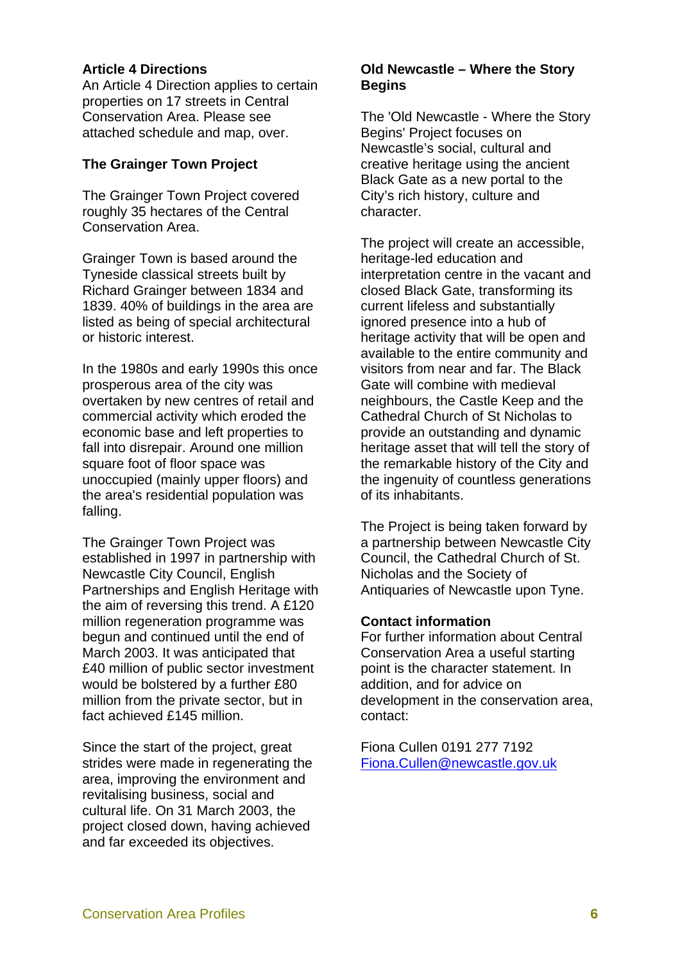#### **Article 4 Directions**

An Article 4 Direction applies to certain properties on 17 streets in Central Conservation Area. Please see attached schedule and map, over.

#### **The Grainger Town Project**

The Grainger Town Project covered roughly 35 hectares of the Central Conservation Area.

Grainger Town is based around the Tyneside classical streets built by Richard Grainger between 1834 and 1839. 40% of buildings in the area are listed as being of special architectural or historic interest.

In the 1980s and early 1990s this once prosperous area of the city was overtaken by new centres of retail and commercial activity which eroded the economic base and left properties to fall into disrepair. Around one million square foot of floor space was unoccupied (mainly upper floors) and the area's residential population was falling.

The Grainger Town Project was established in 1997 in partnership with Newcastle City Council, English Partnerships and English Heritage with the aim of reversing this trend. A £120 million regeneration programme was begun and continued until the end of March 2003. It was anticipated that £40 million of public sector investment would be bolstered by a further £80 million from the private sector, but in fact achieved £145 million

Since the start of the project, great strides were made in regenerating the area, improving the environment and revitalising business, social and cultural life. On 31 March 2003, the project closed down, having achieved and far exceeded its objectives.

#### **Old Newcastle – Where the Story Begins**

The 'Old Newcastle - Where the Story Begins' Project focuses on Newcastle's social, cultural and creative heritage using the ancient Black Gate as a new portal to the City's rich history, culture and character.

The project will create an accessible, heritage-led education and interpretation centre in the vacant and closed Black Gate, transforming its current lifeless and substantially ignored presence into a hub of heritage activity that will be open and available to the entire community and visitors from near and far. The Black Gate will combine with medieval neighbours, the Castle Keep and the Cathedral Church of St Nicholas to provide an outstanding and dynamic heritage asset that will tell the story of the remarkable history of the City and the ingenuity of countless generations of its inhabitants.

The Project is being taken forward by a partnership between Newcastle City Council, the Cathedral Church of St. Nicholas and the Society of Antiquaries of Newcastle upon Tyne.

#### **Contact information**

For further information about Central Conservation Area a useful starting point is the character statement. In addition, and for advice on development in the conservation area, contact:

Fiona Cullen 0191 277 7192 Fiona.Cullen@newcastle.gov.uk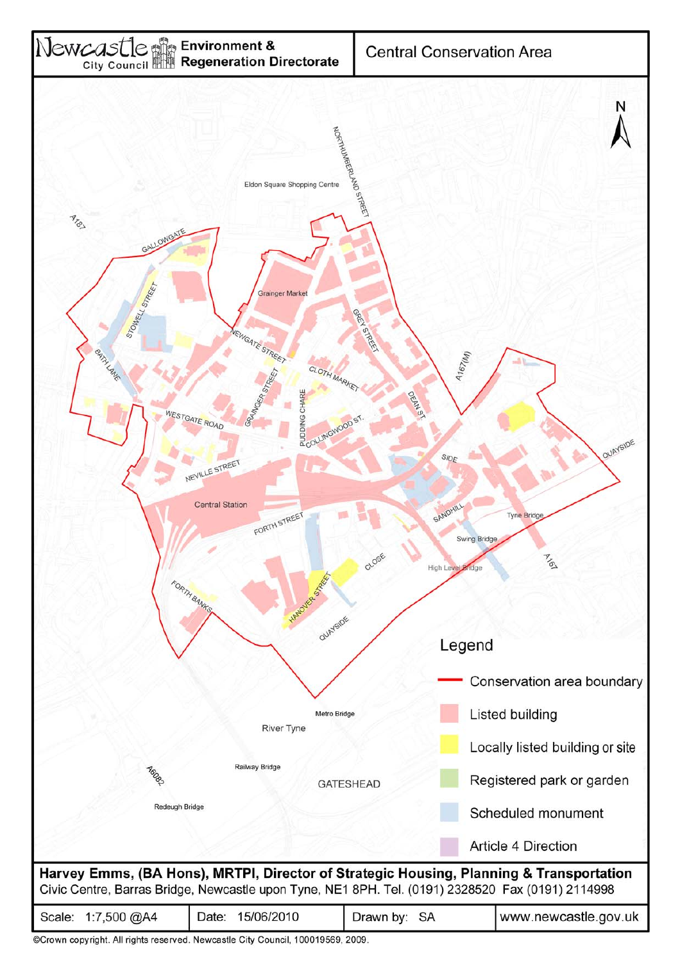

©Crown copyright. All rights reserved. Newcastle City Council, 100019569, 2009.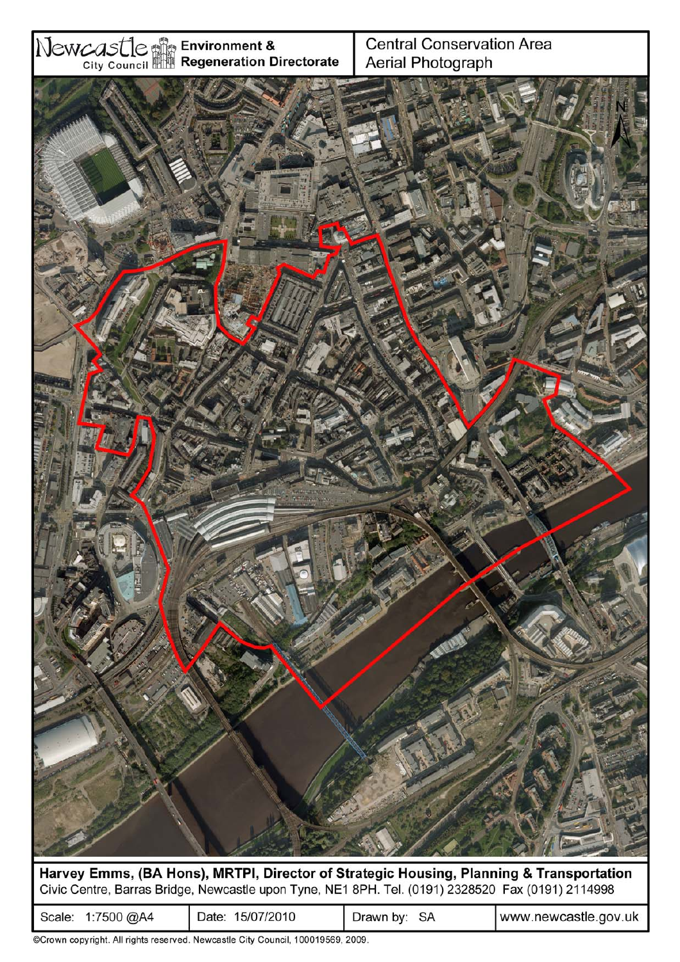

Harvey Emms, (BA Hons), MRTPI, Director of Strategic Housing, Planning & Transportation Civic Centre, Barras Bridge, Newcastle upon Tyne, NE1 8PH. Tel. (0191) 2328520 Fax (0191) 2114998

| 15/07/2010<br>∴7500 @A4<br>Jate<br>scale: | SA<br>Drawn b∨: | www.newcastle.gov.uk |
|-------------------------------------------|-----------------|----------------------|
|-------------------------------------------|-----------------|----------------------|

©Crown copyright. All rights reserved. Newcastle City Council, 100019569, 2009.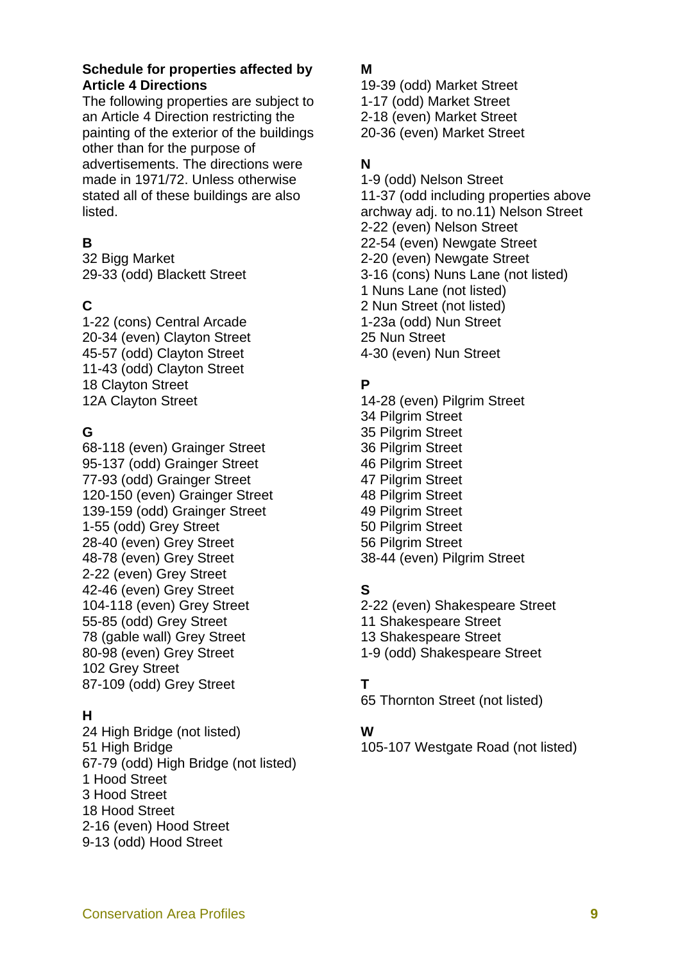## **Schedule for properties affected by Article 4 Directions**

The following properties are subject to an Article 4 Direction restricting the painting of the exterior of the buildings other than for the purpose of advertisements. The directions were made in 1971/72. Unless otherwise stated all of these buildings are also listed.

## **B**

32 Bigg Market 29-33 (odd) Blackett Street

## **C**

1-22 (cons) Central Arcade 20-34 (even) Clayton Street 45-57 (odd) Clayton Street 11-43 (odd) Clayton Street 18 Clayton Street 12A Clayton Street

## **G**

68-118 (even) Grainger Street 95-137 (odd) Grainger Street 77-93 (odd) Grainger Street 120-150 (even) Grainger Street 139-159 (odd) Grainger Street 1-55 (odd) Grey Street 28-40 (even) Grey Street 48-78 (even) Grey Street 2-22 (even) Grey Street 42-46 (even) Grey Street 104-118 (even) Grey Street 55-85 (odd) Grey Street 78 (gable wall) Grey Street 80-98 (even) Grey Street 102 Grey Street 87-109 (odd) Grey Street

## **H**

24 High Bridge (not listed) 51 High Bridge 67-79 (odd) High Bridge (not listed) 1 Hood Street 3 Hood Street 18 Hood Street 2-16 (even) Hood Street 9-13 (odd) Hood Street

### **M**

19-39 (odd) Market Street 1-17 (odd) Market Street 2-18 (even) Market Street 20-36 (even) Market Street

## **N**

1-9 (odd) Nelson Street 11-37 (odd including properties above archway adj. to no.11) Nelson Street 2-22 (even) Nelson Street 22-54 (even) Newgate Street 2-20 (even) Newgate Street 3-16 (cons) Nuns Lane (not listed) 1 Nuns Lane (not listed) 2 Nun Street (not listed) 1-23a (odd) Nun Street 25 Nun Street 4-30 (even) Nun Street

## **P**

14-28 (even) Pilgrim Street 34 Pilgrim Street 35 Pilgrim Street 36 Pilgrim Street 46 Pilgrim Street 47 Pilgrim Street 48 Pilgrim Street 49 Pilgrim Street 50 Pilgrim Street 56 Pilgrim Street 38-44 (even) Pilgrim Street

## **S**

2-22 (even) Shakespeare Street 11 Shakespeare Street 13 Shakespeare Street 1-9 (odd) Shakespeare Street

## **T**

65 Thornton Street (not listed)

## **W**

105-107 Westgate Road (not listed)